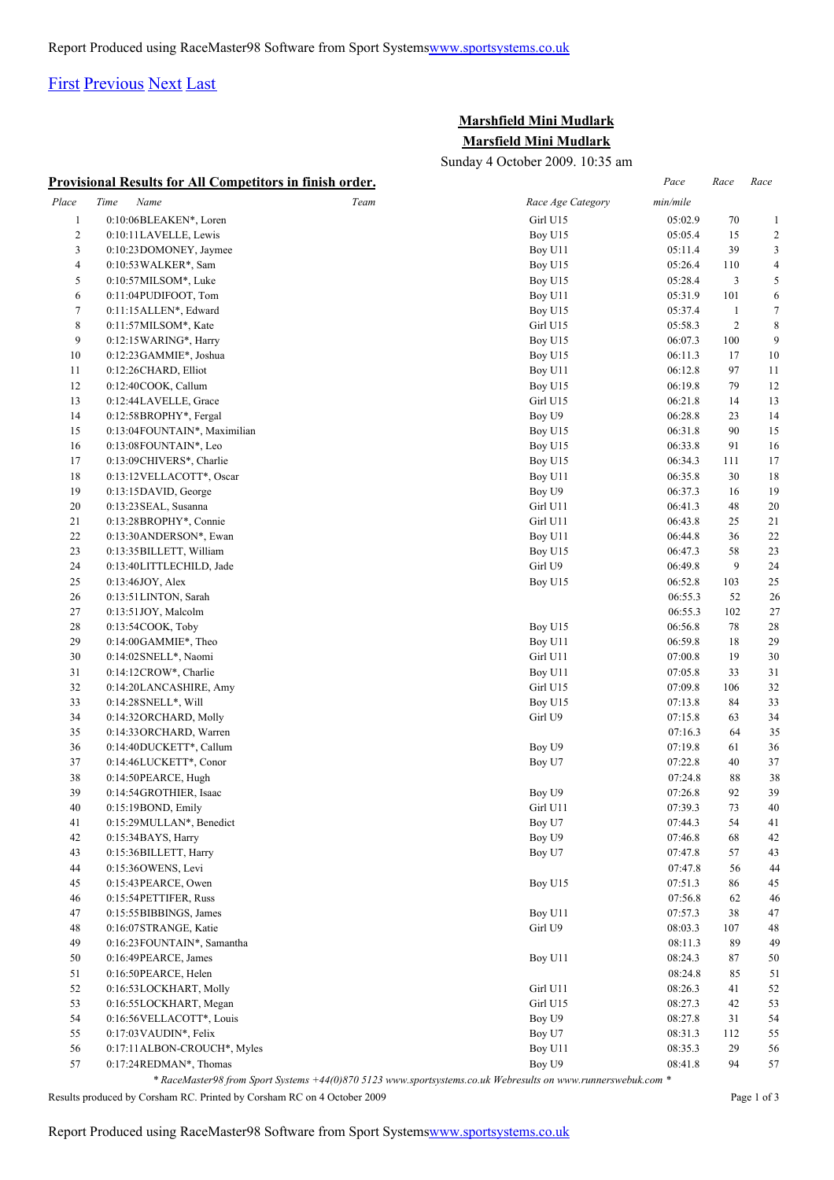### [First](http://www.corshamrunningclub.co.uk/Mudlark/Results/2009/Mini Mudlark.html#) [Previous](http://www.corshamrunningclub.co.uk/Mudlark/Results/2009/Mini Mudlark.html#) [Next](http://www.corshamrunningclub.co.uk/Mudlark/Results/2009/Mini MudlarkPage2.html) [Last](http://www.corshamrunningclub.co.uk/Mudlark/Results/2009/Mini MudlarkPage3.html)

## **Marshfield Mini Mudlark Marsfield Mini Mudlark**

Sunday 4 October 2009. 10:35 am

|              | <b>Provisional Results for All Competitors in finish order.</b> |      |                   | Pace     | Race           | Race           |
|--------------|-----------------------------------------------------------------|------|-------------------|----------|----------------|----------------|
| Place        | Time<br>Name                                                    | Team | Race Age Category | min/mile |                |                |
| $\mathbf{1}$ | 0:10:06BLEAKEN*, Loren                                          |      | Girl U15          | 05:02.9  | 70             | $\mathbf{1}$   |
| 2            | 0:10:11LAVELLE, Lewis                                           |      | Boy U15           | 05:05.4  | 15             | $\overline{2}$ |
| 3            | 0:10:23DOMONEY, Jaymee                                          |      | Boy U11           | 05:11.4  | 39             | 3              |
| 4            | 0:10:53 WALKER*, Sam                                            |      | Boy U15           | 05:26.4  | 110            | 4              |
| 5            | $0:10:57$ MILSOM*, Luke                                         |      | Boy U15           | 05:28.4  | 3              | 5              |
| 6            | 0:11:04PUDIFOOT, Tom                                            |      | Boy U11           | 05:31.9  | 101            | 6              |
| $\tau$       | 0:11:15 ALLEN*, Edward                                          |      | Boy U15           | 05:37.4  | $\mathbf{1}$   | $\tau$         |
| $\,$ 8 $\,$  | 0:11:57MILSOM*, Kate                                            |      | Girl U15          | 05:58.3  | $\overline{c}$ | $\,8\,$        |
| 9            | $0:12:15\text{WARNG}^*$ , Harry                                 |      | Boy U15           | 06:07.3  | 100            | 9              |
| 10           | 0:12:23GAMMIE*, Joshua                                          |      | Boy U15           | 06:11.3  | 17             | 10             |
| 11           | 0:12:26CHARD, Elliot                                            |      | Boy U11           | 06:12.8  | 97             | 11             |
| 12           | 0:12:40COOK, Callum                                             |      | Boy U15           | 06:19.8  | 79             | 12             |
| 13           | 0:12:44LAVELLE, Grace                                           |      | Girl U15          | 06:21.8  | 14             | 13             |
| 14           | 0:12:58BROPHY*, Fergal                                          |      | Boy U9            | 06:28.8  | 23             | 14             |
| 15           | 0:13:04FOUNTAIN*, Maximilian                                    |      | Boy U15           | 06:31.8  | 90             | 15             |
| 16           | 0:13:08FOUNTAIN*, Leo                                           |      | Boy U15           | 06:33.8  | 91             | 16             |
| 17           | 0:13:09CHIVERS*, Charlie                                        |      | Boy U15           | 06:34.3  | 111            | 17             |
| 18           | 0:13:12 VELLACOTT*, Oscar                                       |      | Boy U11           | 06:35.8  | 30             | 18             |
| 19           | 0:13:15DAVID, George                                            |      | Boy U9            | 06:37.3  | 16             | 19             |
| 20           | 0:13:23 SEAL, Susanna                                           |      | Girl U11          | 06:41.3  | 48             | 20             |
| 21           | 0:13:28BROPHY*, Connie                                          |      | Girl U11          | 06:43.8  | 25             | 21             |
| 22           | 0:13:30ANDERSON*, Ewan                                          |      | Boy U11           | 06:44.8  | 36             | 22             |
| 23           | 0:13:35BILLETT, William                                         |      | Boy U15           | 06:47.3  | 58             | 23             |
| 24           | 0:13:40LITTLECHILD, Jade                                        |      | Girl U9           | 06:49.8  | 9              | 24             |
| 25           | 0:13:46JOY, Alex                                                |      | Boy U15           | 06:52.8  | 103            | 25             |
| 26           | 0:13:51 LINTON, Sarah                                           |      |                   | 06:55.3  | 52             | 26             |
| 27           | 0:13:51JOY, Malcolm                                             |      |                   | 06:55.3  | 102            | 27             |
| 28           | $0:13:54COOK$ , Toby                                            |      | Boy U15           | 06:56.8  | 78             | 28             |
| 29           | 0:14:00GAMMIE*, Theo                                            |      | Boy U11           | 06:59.8  | 18             | 29             |
| 30           | 0:14:02 SNELL*, Naomi                                           |      | Girl U11          | 07:00.8  | 19             | 30             |
| 31           | $0:14:12$ CROW*, Charlie                                        |      | Boy U11           | 07:05.8  | 33             | 31             |
| 32           | 0:14:20LANCASHIRE, Amy                                          |      | Girl U15          | 07:09.8  | 106            | 32             |
| 33           | 0:14:28 SNELL*, Will                                            |      | Boy U15           | 07:13.8  | 84             | 33             |
| 34           | 0:14:32ORCHARD, Molly                                           |      | Girl U9           | 07:15.8  | 63             | 34             |
| 35           | 0:14:33 ORCHARD, Warren                                         |      |                   | 07:16.3  | 64             | 35             |
| 36           | 0:14:40DUCKETT*, Callum                                         |      | Boy U9            | 07:19.8  | 61             | 36             |
| 37           | 0:14:46LUCKETT*, Conor                                          |      | Boy U7            | 07:22.8  | 40             | 37             |
| 38           | 0:14:50PEARCE, Hugh                                             |      |                   | 07:24.8  | 88             | 38             |
| 39           | 0:14:54GROTHIER, Isaac                                          |      | Boy U9            | 07:26.8  | 92             | 39             |
| 40           | 0:15:19BOND, Emily                                              |      | Girl U11          | 07:39.3  | 73             | 40             |
| 41           | 0:15:29MULLAN*, Benedict                                        |      | Boy U7            | 07:44.3  | 54             | 41             |
| 42           | 0:15:34BAYS, Harry                                              |      | Boy U9            | 07:46.8  | 68             | 42             |
| 43           | 0:15:36BILLETT, Harry                                           |      | Boy U7            | 07:47.8  | 57             | 43             |
| 44           | 0:15:36OWENS, Levi                                              |      |                   | 07:47.8  | 56             | 44             |
| 45           | 0:15:43PEARCE, Owen                                             |      | Boy U15           | 07:51.3  | 86             | 45             |
| 46           | 0:15:54PETTIFER, Russ                                           |      |                   | 07:56.8  | 62             | 46             |
| 47           | 0:15:55BIBBINGS, James                                          |      | Boy U11           | 07:57.3  | 38             | 47             |
| 48           | 0:16:07STRANGE, Katie                                           |      | Girl U9           | 08:03.3  | 107            | 48             |
| 49           | 0:16:23FOUNTAIN*, Samantha                                      |      |                   | 08:11.3  | 89             | 49             |
| 50           | 0:16:49PEARCE, James                                            |      | Boy U11           | 08:24.3  | 87             | 50             |
| 51           | 0:16:50PEARCE, Helen                                            |      |                   | 08:24.8  | 85             | 51             |
| 52           | 0:16:53LOCKHART, Molly                                          |      | Girl U11          | 08:26.3  | 41             | 52             |
| 53           | 0:16:55LOCKHART, Megan                                          |      | Girl U15          | 08:27.3  | 42             | 53             |
| 54           | 0:16:56VELLACOTT*, Louis                                        |      | Boy U9            | 08:27.8  | 31             | 54             |
| 55           | 0:17:03 VAUDIN*, Felix                                          |      | Boy U7            | 08:31.3  | 112            | 55             |
| 56           | 0:17:11ALBON-CROUCH*, Myles                                     |      | Boy U11           | 08:35.3  | 29             | 56             |
| 57           | 0:17:24REDMAN*, Thomas                                          |      | Boy U9            | 08:41.8  | 94             | 57             |

*\* RaceMaster98 from Sport Systems +44(0)870 5123 www.sportsystems.co.uk Webresults on www.runnerswebuk.com \**

Results produced by Corsham RC. Printed by Corsham RC on 4 October 2009 Page 1 of 3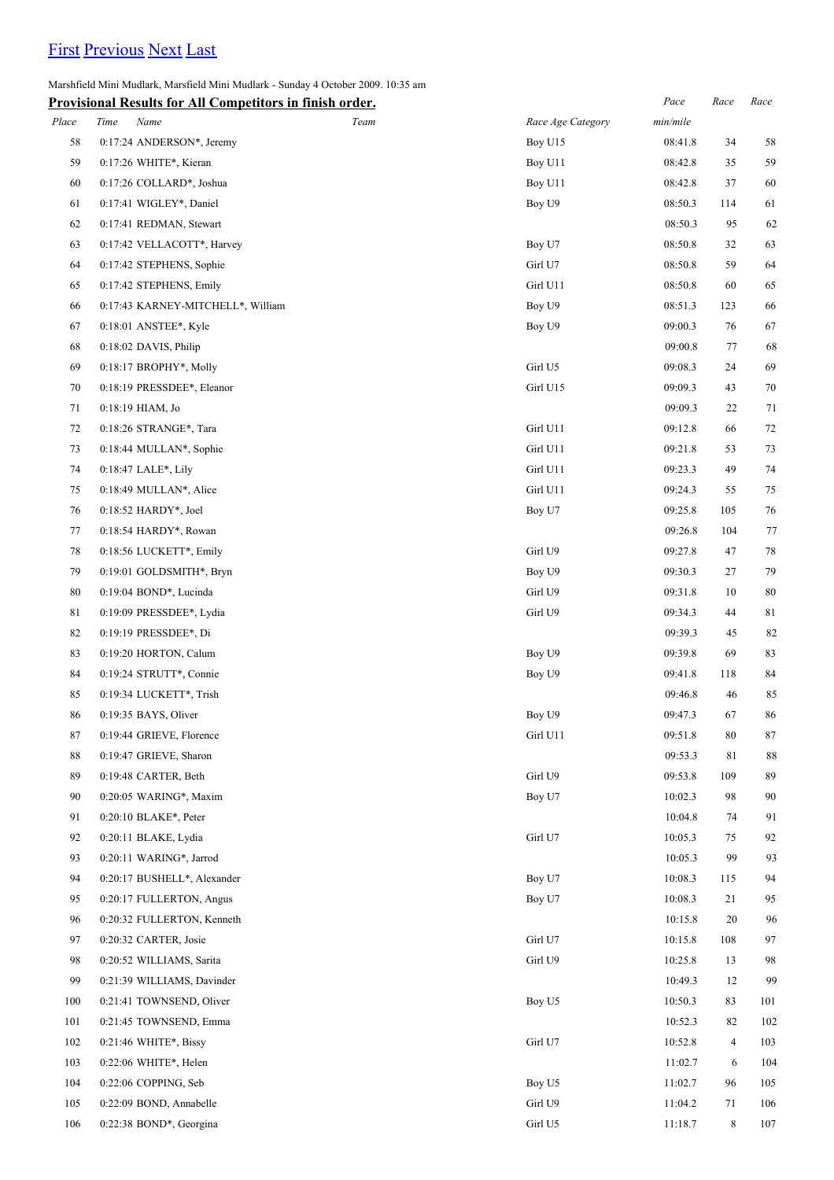# [First](http://www.corshamrunningclub.co.uk/Mudlark/Results/2009/Mini Mudlark.html) [Previous](http://www.corshamrunningclub.co.uk/Mudlark/Results/2009/Mini Mudlark.html) [Next](http://www.corshamrunningclub.co.uk/Mudlark/Results/2009/Mini MudlarkPage3.html) [Last](http://www.corshamrunningclub.co.uk/Mudlark/Results/2009/Mini MudlarkPage3.html)

Marshfield Mini Mudlark, Marsfield Mini Mudlark - Sunday 4 October 2009. 10:35 am

|       | <b>Provisional Results for All Competitors in finish order.</b> |      |                   | $Pace$   | $Race$         | Race |
|-------|-----------------------------------------------------------------|------|-------------------|----------|----------------|------|
| Place | Time<br>Name                                                    | Team | Race Age Category | min/mile |                |      |
| 58    | 0:17:24 ANDERSON*, Jeremy                                       |      | Boy U15           | 08:41.8  | 34             | 58   |
| 59    | 0:17:26 WHITE*, Kieran                                          |      | Boy U11           | 08:42.8  | 35             | 59   |
| 60    | 0:17:26 COLLARD*, Joshua                                        |      | Boy U11           | 08:42.8  | 37             | 60   |
| 61    | 0:17:41 WIGLEY*, Daniel                                         |      | Boy U9            | 08:50.3  | 114            | 61   |
| 62    | 0:17:41 REDMAN, Stewart                                         |      |                   | 08:50.3  | 95             | 62   |
| 63    | 0:17:42 VELLACOTT*, Harvey                                      |      | Boy U7            | 08:50.8  | 32             | 63   |
| 64    | 0:17:42 STEPHENS, Sophie                                        |      | Girl U7           | 08:50.8  | 59             | 64   |
| 65    | 0:17:42 STEPHENS, Emily                                         |      | Girl U11          | 08:50.8  | 60             | 65   |
| 66    | 0:17:43 KARNEY-MITCHELL*, William                               |      | Boy U9            | 08:51.3  | 123            | 66   |
| 67    | 0:18:01 ANSTEE*, Kyle                                           |      | Boy U9            | 09:00.3  | 76             | 67   |
| 68    | $0:18:02$ DAVIS, Philip                                         |      |                   | 09:00.8  | 77             | 68   |
| 69    | 0:18:17 BROPHY*, Molly                                          |      | Girl U5           | 09:08.3  | 24             | 69   |
| 70    | 0:18:19 PRESSDEE*, Eleanor                                      |      | Girl U15          | 09:09.3  | 43             | 70   |
| 71    | 0:18:19 HIAM, Jo                                                |      |                   | 09:09.3  | 22             | 71   |
| 72    | 0:18:26 STRANGE*, Tara                                          |      | Girl U11          | 09:12.8  | 66             | 72   |
| 73    | 0:18:44 MULLAN*, Sophie                                         |      | Girl U11          | 09:21.8  | 53             | 73   |
| 74    | 0:18:47 LALE*, Lily                                             |      | Girl U11          | 09:23.3  | 49             | 74   |
| 75    | 0:18:49 MULLAN*, Alice                                          |      | Girl U11          | 09:24.3  | 55             | 75   |
| 76    | 0:18:52 HARDY*, Joel                                            |      | Boy U7            | 09:25.8  | 105            | 76   |
| 77    | 0:18:54 HARDY*, Rowan                                           |      |                   | 09:26.8  | 104            | 77   |
| 78    | 0:18:56 LUCKETT*, Emily                                         |      | Girl U9           | 09:27.8  | 47             | 78   |
| 79    | 0:19:01 GOLDSMITH*, Bryn                                        |      | Boy U9            | 09:30.3  | 27             | 79   |
| 80    | 0:19:04 BOND*, Lucinda                                          |      | Girl U9           | 09:31.8  | 10             | 80   |
| 81    | 0:19:09 PRESSDEE*, Lydia                                        |      | Girl U9           | 09:34.3  | 44             | 81   |
| 82    | 0:19:19 PRESSDEE*, Di                                           |      |                   | 09:39.3  | 45             | 82   |
| 83    | 0:19:20 HORTON, Calum                                           |      | Boy U9            | 09:39.8  | 69             | 83   |
| 84    | 0:19:24 STRUTT*, Connie                                         |      | Boy U9            | 09:41.8  | 118            | 84   |
| 85    | 0:19:34 LUCKETT*, Trish                                         |      |                   | 09:46.8  | 46             | 85   |
| 86    | 0:19:35 BAYS, Oliver                                            |      | Boy U9            | 09:47.3  | 67             | 86   |
| 87    | 0:19:44 GRIEVE, Florence                                        |      | Girl U11          | 09:51.8  | 80             | 87   |
| 88    | 0:19:47 GRIEVE, Sharon                                          |      |                   | 09:53.3  | 81             | 88   |
| 89    | 0:19:48 CARTER, Beth                                            |      | Girl U9           | 09:53.8  | 109            | 89   |
| 90    | 0:20:05 WARING*, Maxim                                          |      | Boy U7            | 10:02.3  | 98             | 90   |
| 91    | 0:20:10 BLAKE*, Peter                                           |      |                   | 10:04.8  | 74             | 91   |
| 92    | 0:20:11 BLAKE, Lydia                                            |      | Girl U7           | 10:05.3  | 75             | 92   |
| 93    | 0:20:11 WARING*, Jarrod                                         |      |                   | 10:05.3  | 99             | 93   |
| 94    | 0:20:17 BUSHELL*, Alexander                                     |      | Boy U7            | 10:08.3  | 115            | 94   |
| 95    | 0:20:17 FULLERTON, Angus                                        |      | Boy U7            | 10:08.3  | 21             | 95   |
| 96    | 0:20:32 FULLERTON, Kenneth                                      |      |                   | 10:15.8  | 20             | 96   |
| 97    | 0:20:32 CARTER, Josie                                           |      | Girl U7           | 10:15.8  | 108            | 97   |
| 98    | 0:20:52 WILLIAMS, Sarita                                        |      | Girl U9           | 10:25.8  | 13             | 98   |
| 99    | 0:21:39 WILLIAMS, Davinder                                      |      |                   | 10:49.3  | 12             | 99   |
| 100   | 0:21:41 TOWNSEND, Oliver                                        |      | Boy U5            | 10:50.3  | 83             | 101  |
| 101   | 0:21:45 TOWNSEND, Emma                                          |      |                   | 10:52.3  | 82             | 102  |
| 102   | 0:21:46 WHITE*, Bissy                                           |      | Girl U7           | 10:52.8  | $\overline{4}$ | 103  |
| 103   | 0:22:06 WHITE*, Helen                                           |      |                   | 11:02.7  | 6              | 104  |
| 104   | 0:22:06 COPPING, Seb                                            |      | Boy U5            | 11:02.7  | 96             | 105  |
| 105   | 0:22:09 BOND, Annabelle                                         |      | Girl U9           | 11:04.2  | 71             | 106  |
| 106   | 0:22:38 BOND*, Georgina                                         |      | Girl U5           | 11:18.7  | 8              | 107  |